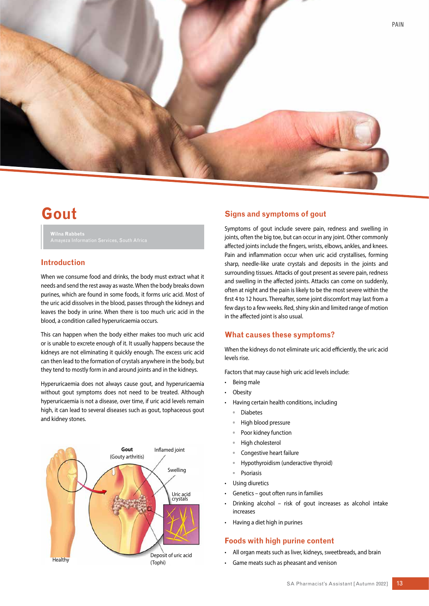

# **Gout**

**Wilna Rabbets**

# **Introduction**

When we consume food and drinks, the body must extract what it needs and send the rest away as waste. When the body breaks down purines, which are found in some foods, it forms uric acid. Most of the uric acid dissolves in the blood, passes through the kidneys and leaves the body in urine. When there is too much uric acid in the blood, a condition called hyperuricaemia occurs.

This can happen when the body either makes too much uric acid or is unable to excrete enough of it. It usually happens because the kidneys are not eliminating it quickly enough. The excess uric acid can then lead to the formation of crystals anywhere in the body, but they tend to mostly form in and around joints and in the kidneys.

Hyperuricaemia does not always cause gout, and hyperuricaemia without gout symptoms does not need to be treated. Although hyperuricaemia is not a disease, over time, if uric acid levels remain high, it can lead to several diseases such as gout, tophaceous gout and kidney stones.



## **Signs and symptoms of gout**

Symptoms of gout include severe pain, redness and swelling in joints, often the big toe, but can occur in any joint. Other commonly affected joints include the fingers, wrists, elbows, ankles, and knees. Pain and inflammation occur when uric acid crystallises, forming sharp, needle-like urate crystals and deposits in the joints and surrounding tissues. Attacks of gout present as severe pain, redness and swelling in the affected joints. Attacks can come on suddenly, often at night and the pain is likely to be the most severe within the first 4 to 12 hours. Thereafter, some joint discomfort may last from a few days to a few weeks. Red, shiny skin and limited range of motion in the affected joint is also usual.

## **What causes these symptoms?**

When the kidneys do not eliminate uric acid efficiently, the uric acid levels rise.

Factors that may cause high uric acid levels include:

- Being male
- Obesity
- Having certain health conditions, including
	- Diabetes
	- High blood pressure
	- Poor kidney function
	- High cholesterol
	- Congestive heart failure
	- Hypothyroidism (underactive thyroid)
	- Psoriasis
- Using diuretics
- Genetics gout often runs in families
- Drinking alcohol risk of gout increases as alcohol intake increases
- Having a diet high in purines

## **Foods with high purine content**

- All organ meats such as liver, kidneys, sweetbreads, and brain
- Game meats such as pheasant and venison